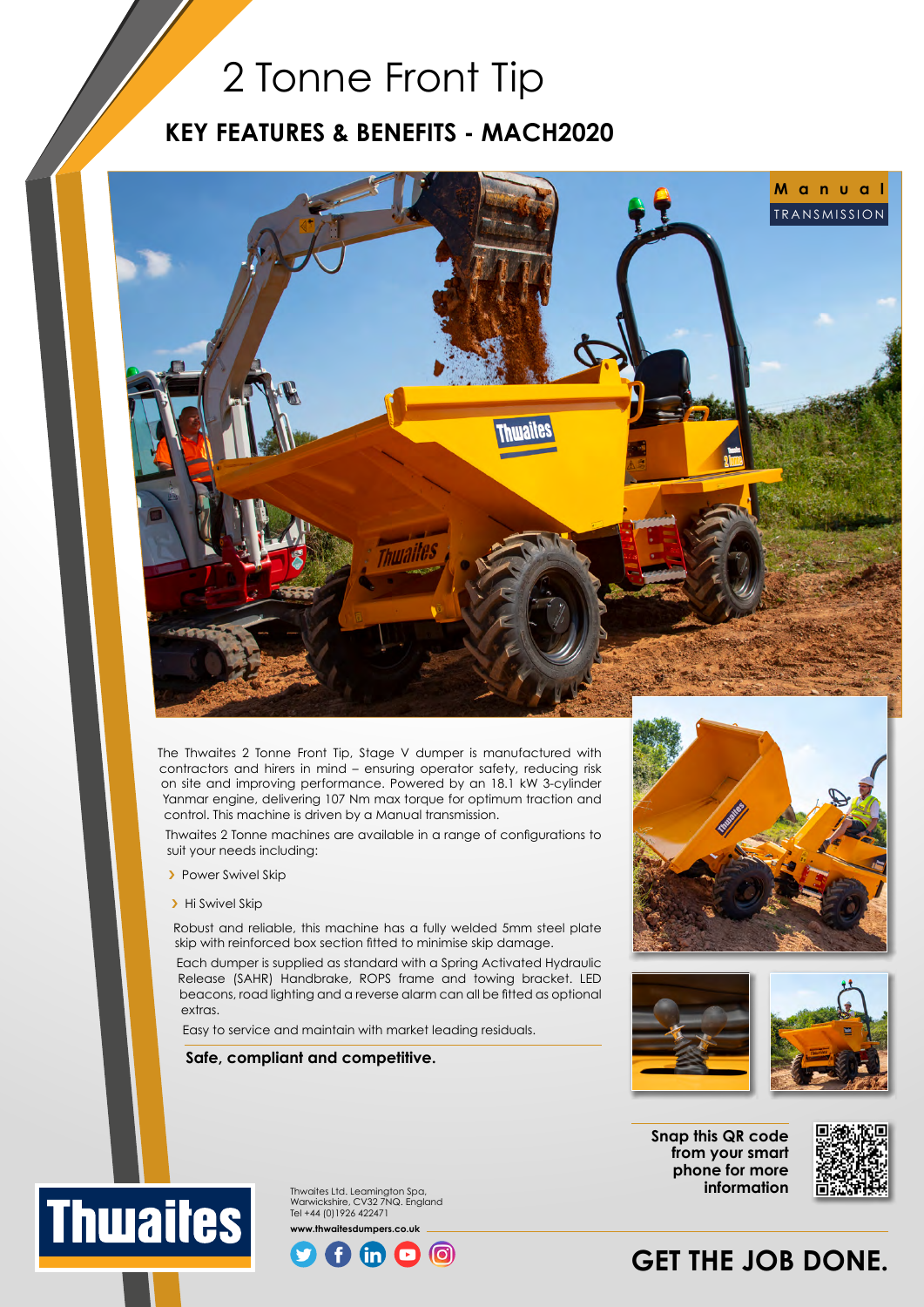## 2 Tonne Front Tip

### **KEY FEATURES & BENEFITS - MACH2020**



The Thwaites 2 Tonne Front Tip, Stage V dumper is manufactured with contractors and hirers in mind – ensuring operator safety, reducing risk on site and improving performance. Powered by an 18.1 kW 3-cylinder Yanmar engine, delivering 107 Nm max torque for optimum traction and control. This machine is driven by a Manual transmission.

Thwaites 2 Tonne machines are available in a range of configurations to suit your needs including:

- > Power Swivel Skip
- > Hi Swivel Skip

Robust and reliable, this machine has a fully welded 5mm steel plate skip with reinforced box section fitted to minimise skip damage.

Each dumper is supplied as standard with a Spring Activated Hydraulic Release (SAHR) Handbrake, ROPS frame and towing bracket. LED beacons, road lighting and a reverse alarm can all be fitted as optional extras.

Easy to service and maintain with market leading residuals.

#### **Safe, compliant and competitive.**





**Snap this QR code from your smart phone for more information**



Thwaites Ltd. Leamington Spa, **Thwaites** Warwickshire, CV32 7NQ. England Tel +44 (0)1926 422471 **www.thwaitesdumpers.co.uk**



## **GET THE JOB DONE.**